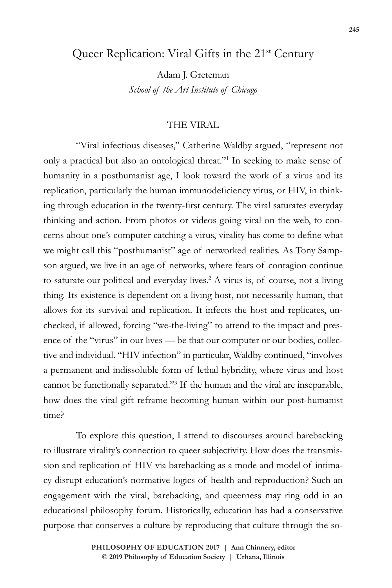# Queer Replication: Viral Gifts in the 21<sup>st</sup> Century

Adam J. Greteman *School of the Art Institute of Chicago*

## THE VIRAL

"Viral infectious diseases," Catherine Waldby argued, "represent not only a practical but also an ontological threat."1 In seeking to make sense of humanity in a posthumanist age, I look toward the work of a virus and its replication, particularly the human immunodeficiency virus, or HIV, in thinking through education in the twenty-first century. The viral saturates everyday thinking and action. From photos or videos going viral on the web, to concerns about one's computer catching a virus, virality has come to define what we might call this "posthumanist" age of networked realities. As Tony Sampson argued, we live in an age of networks, where fears of contagion continue to saturate our political and everyday lives.<sup>2</sup> A virus is, of course, not a living thing. Its existence is dependent on a living host, not necessarily human, that allows for its survival and replication. It infects the host and replicates, unchecked, if allowed, forcing "we-the-living" to attend to the impact and presence of the "virus" in our lives — be that our computer or our bodies, collective and individual. "HIV infection" in particular, Waldby continued, "involves a permanent and indissoluble form of lethal hybridity, where virus and host cannot be functionally separated."3 If the human and the viral are inseparable, how does the viral gift reframe becoming human within our post-humanist time?

To explore this question, I attend to discourses around barebacking to illustrate virality's connection to queer subjectivity. How does the transmission and replication of HIV via barebacking as a mode and model of intimacy disrupt education's normative logics of health and reproduction? Such an engagement with the viral, barebacking, and queerness may ring odd in an educational philosophy forum. Historically, education has had a conservative purpose that conserves a culture by reproducing that culture through the so-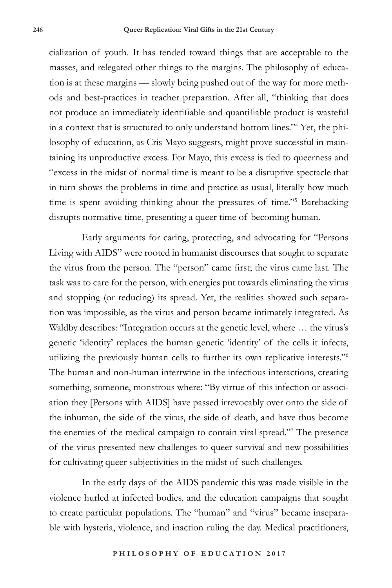cialization of youth. It has tended toward things that are acceptable to the masses, and relegated other things to the margins. The philosophy of education is at these margins — slowly being pushed out of the way for more methods and best-practices in teacher preparation. After all, "thinking that does not produce an immediately identifiable and quantifiable product is wasteful in a context that is structured to only understand bottom lines."4 Yet, the philosophy of education, as Cris Mayo suggests, might prove successful in maintaining its unproductive excess. For Mayo, this excess is tied to queerness and "excess in the midst of normal time is meant to be a disruptive spectacle that in turn shows the problems in time and practice as usual, literally how much time is spent avoiding thinking about the pressures of time."5 Barebacking disrupts normative time, presenting a queer time of becoming human.

Early arguments for caring, protecting, and advocating for "Persons Living with AIDS" were rooted in humanist discourses that sought to separate the virus from the person. The "person" came first; the virus came last. The task was to care for the person, with energies put towards eliminating the virus and stopping (or reducing) its spread. Yet, the realities showed such separation was impossible, as the virus and person became intimately integrated. As Waldby describes: "Integration occurs at the genetic level, where … the virus's genetic 'identity' replaces the human genetic 'identity' of the cells it infects, utilizing the previously human cells to further its own replicative interests."6 The human and non-human intertwine in the infectious interactions, creating something, someone, monstrous where: "By virtue of this infection or association they [Persons with AIDS] have passed irrevocably over onto the side of the inhuman, the side of the virus, the side of death, and have thus become the enemies of the medical campaign to contain viral spread."7 The presence of the virus presented new challenges to queer survival and new possibilities for cultivating queer subjectivities in the midst of such challenges.

In the early days of the AIDS pandemic this was made visible in the violence hurled at infected bodies, and the education campaigns that sought to create particular populations. The "human" and "virus" became inseparable with hysteria, violence, and inaction ruling the day. Medical practitioners,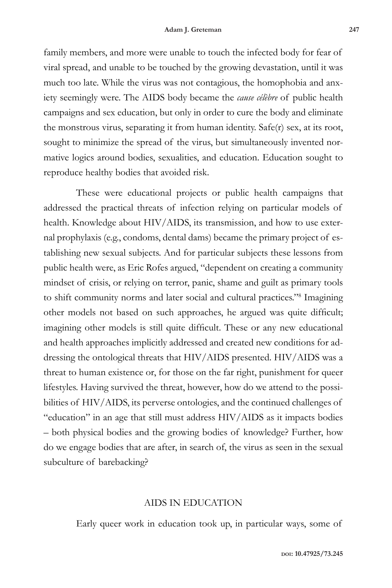family members, and more were unable to touch the infected body for fear of viral spread, and unable to be touched by the growing devastation, until it was much too late. While the virus was not contagious, the homophobia and anxiety seemingly were. The AIDS body became the *cause célèbre* of public health campaigns and sex education, but only in order to cure the body and eliminate the monstrous virus, separating it from human identity. Safe(r) sex, at its root, sought to minimize the spread of the virus, but simultaneously invented normative logics around bodies, sexualities, and education. Education sought to reproduce healthy bodies that avoided risk.

These were educational projects or public health campaigns that addressed the practical threats of infection relying on particular models of health. Knowledge about HIV/AIDS, its transmission, and how to use external prophylaxis (e.g., condoms, dental dams) became the primary project of establishing new sexual subjects. And for particular subjects these lessons from public health were, as Eric Rofes argued, "dependent on creating a community mindset of crisis, or relying on terror, panic, shame and guilt as primary tools to shift community norms and later social and cultural practices."8 Imagining other models not based on such approaches, he argued was quite difficult; imagining other models is still quite difficult. These or any new educational and health approaches implicitly addressed and created new conditions for addressing the ontological threats that HIV/AIDS presented. HIV/AIDS was a threat to human existence or, for those on the far right, punishment for queer lifestyles. Having survived the threat, however, how do we attend to the possibilities of HIV/AIDS, its perverse ontologies, and the continued challenges of "education" in an age that still must address HIV/AIDS as it impacts bodies – both physical bodies and the growing bodies of knowledge? Further, how do we engage bodies that are after, in search of, the virus as seen in the sexual subculture of barebacking?

#### AIDS IN EDUCATION

Early queer work in education took up, in particular ways, some of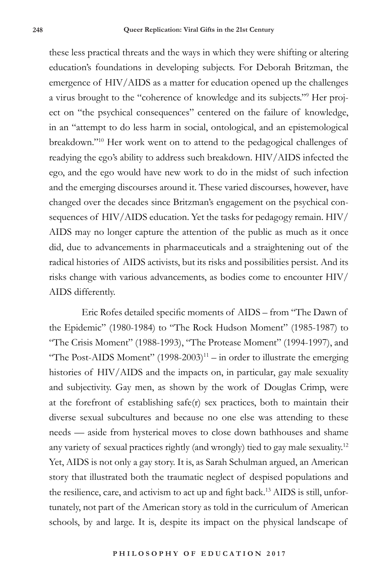these less practical threats and the ways in which they were shifting or altering education's foundations in developing subjects. For Deborah Britzman, the emergence of HIV/AIDS as a matter for education opened up the challenges a virus brought to the "coherence of knowledge and its subjects."9 Her project on "the psychical consequences" centered on the failure of knowledge, in an "attempt to do less harm in social, ontological, and an epistemological breakdown."10 Her work went on to attend to the pedagogical challenges of readying the ego's ability to address such breakdown. HIV/AIDS infected the ego, and the ego would have new work to do in the midst of such infection and the emerging discourses around it. These varied discourses, however, have changed over the decades since Britzman's engagement on the psychical consequences of HIV/AIDS education. Yet the tasks for pedagogy remain. HIV/ AIDS may no longer capture the attention of the public as much as it once did, due to advancements in pharmaceuticals and a straightening out of the radical histories of AIDS activists, but its risks and possibilities persist. And its risks change with various advancements, as bodies come to encounter HIV/ AIDS differently.

Eric Rofes detailed specific moments of AIDS – from "The Dawn of the Epidemic" (1980-1984) to "The Rock Hudson Moment" (1985-1987) to "The Crisis Moment" (1988-1993), "The Protease Moment" (1994-1997), and "The Post-AIDS Moment"  $(1998-2003)^{11}$  – in order to illustrate the emerging histories of HIV/AIDS and the impacts on, in particular, gay male sexuality and subjectivity. Gay men, as shown by the work of Douglas Crimp, were at the forefront of establishing safe(r) sex practices, both to maintain their diverse sexual subcultures and because no one else was attending to these needs — aside from hysterical moves to close down bathhouses and shame any variety of sexual practices rightly (and wrongly) tied to gay male sexuality.12 Yet, AIDS is not only a gay story. It is, as Sarah Schulman argued, an American story that illustrated both the traumatic neglect of despised populations and the resilience, care, and activism to act up and fight back.13 AIDS is still, unfortunately, not part of the American story as told in the curriculum of American schools, by and large. It is, despite its impact on the physical landscape of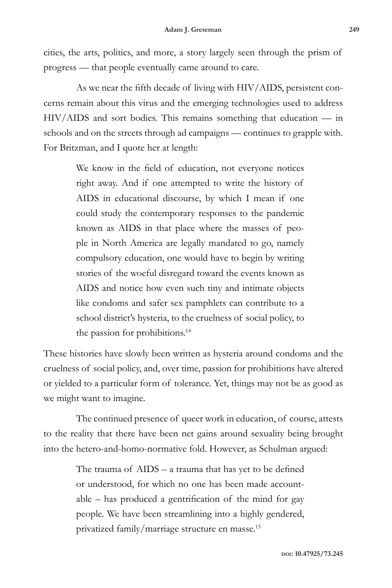cities, the arts, politics, and more, a story largely seen through the prism of progress — that people eventually came around to care.

As we near the fifth decade of living with HIV/AIDS, persistent concerns remain about this virus and the emerging technologies used to address HIV/AIDS and sort bodies. This remains something that education — in schools and on the streets through ad campaigns — continues to grapple with. For Britzman, and I quote her at length:

> We know in the field of education, not everyone notices right away. And if one attempted to write the history of AIDS in educational discourse, by which I mean if one could study the contemporary responses to the pandemic known as AIDS in that place where the masses of people in North America are legally mandated to go, namely compulsory education, one would have to begin by writing stories of the woeful disregard toward the events known as AIDS and notice how even such tiny and intimate objects like condoms and safer sex pamphlets can contribute to a school district's hysteria, to the cruelness of social policy, to the passion for prohibitions.<sup>14</sup>

These histories have slowly been written as hysteria around condoms and the cruelness of social policy, and, over time, passion for prohibitions have altered or yielded to a particular form of tolerance. Yet, things may not be as good as we might want to imagine.

The continued presence of queer work in education, of course, attests to the reality that there have been net gains around sexuality being brought into the hetero-and-homo-normative fold. However, as Schulman argued:

> The trauma of AIDS – a trauma that has yet to be defined or understood, for which no one has been made accountable – has produced a gentrification of the mind for gay people. We have been streamlining into a highly gendered, privatized family/marriage structure en masse.15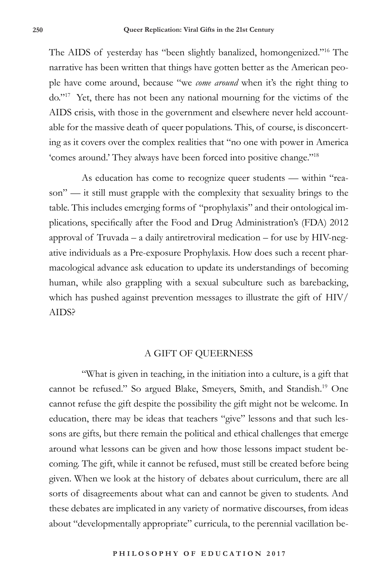The AIDS of yesterday has "been slightly banalized, homongenized."16 The narrative has been written that things have gotten better as the American people have come around, because "we *come around* when it's the right thing to do."17 Yet, there has not been any national mourning for the victims of the AIDS crisis, with those in the government and elsewhere never held accountable for the massive death of queer populations. This, of course, is disconcerting as it covers over the complex realities that "no one with power in America 'comes around.' They always have been forced into positive change."18

As education has come to recognize queer students — within "reason" — it still must grapple with the complexity that sexuality brings to the table. This includes emerging forms of "prophylaxis" and their ontological implications, specifically after the Food and Drug Administration's (FDA) 2012 approval of Truvada – a daily antiretroviral medication – for use by HIV-negative individuals as a Pre-exposure Prophylaxis. How does such a recent pharmacological advance ask education to update its understandings of becoming human, while also grappling with a sexual subculture such as barebacking, which has pushed against prevention messages to illustrate the gift of HIV/ AIDS?

#### A GIFT OF QUEERNESS

"What is given in teaching, in the initiation into a culture, is a gift that cannot be refused." So argued Blake, Smeyers, Smith, and Standish.19 One cannot refuse the gift despite the possibility the gift might not be welcome. In education, there may be ideas that teachers "give" lessons and that such lessons are gifts, but there remain the political and ethical challenges that emerge around what lessons can be given and how those lessons impact student becoming. The gift, while it cannot be refused, must still be created before being given. When we look at the history of debates about curriculum, there are all sorts of disagreements about what can and cannot be given to students. And these debates are implicated in any variety of normative discourses, from ideas about "developmentally appropriate" curricula, to the perennial vacillation be-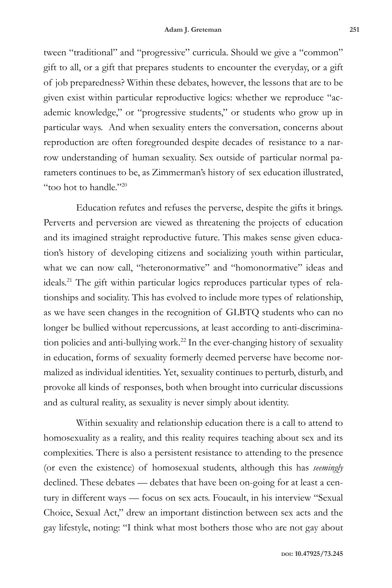tween "traditional" and "progressive" curricula. Should we give a "common" gift to all, or a gift that prepares students to encounter the everyday, or a gift of job preparedness? Within these debates, however, the lessons that are to be given exist within particular reproductive logics: whether we reproduce "academic knowledge," or "progressive students," or students who grow up in particular ways. And when sexuality enters the conversation, concerns about reproduction are often foregrounded despite decades of resistance to a narrow understanding of human sexuality. Sex outside of particular normal parameters continues to be, as Zimmerman's history of sex education illustrated, "too hot to handle."20

Education refutes and refuses the perverse, despite the gifts it brings. Perverts and perversion are viewed as threatening the projects of education and its imagined straight reproductive future. This makes sense given education's history of developing citizens and socializing youth within particular, what we can now call, "heteronormative" and "homonormative" ideas and ideals.21 The gift within particular logics reproduces particular types of relationships and sociality. This has evolved to include more types of relationship, as we have seen changes in the recognition of GLBTQ students who can no longer be bullied without repercussions, at least according to anti-discrimination policies and anti-bullying work.<sup>22</sup> In the ever-changing history of sexuality in education, forms of sexuality formerly deemed perverse have become normalized as individual identities. Yet, sexuality continues to perturb, disturb, and provoke all kinds of responses, both when brought into curricular discussions and as cultural reality, as sexuality is never simply about identity.

Within sexuality and relationship education there is a call to attend to homosexuality as a reality, and this reality requires teaching about sex and its complexities. There is also a persistent resistance to attending to the presence (or even the existence) of homosexual students, although this has *seemingly* declined. These debates — debates that have been on-going for at least a century in different ways — focus on sex acts. Foucault, in his interview "Sexual Choice, Sexual Act," drew an important distinction between sex acts and the gay lifestyle, noting: "I think what most bothers those who are not gay about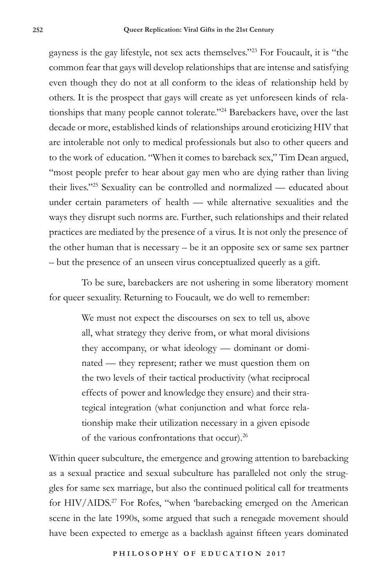gayness is the gay lifestyle, not sex acts themselves."23 For Foucault, it is "the common fear that gays will develop relationships that are intense and satisfying even though they do not at all conform to the ideas of relationship held by others. It is the prospect that gays will create as yet unforeseen kinds of relationships that many people cannot tolerate."<sup>24</sup> Barebackers have, over the last decade or more, established kinds of relationships around eroticizing HIV that are intolerable not only to medical professionals but also to other queers and to the work of education. "When it comes to bareback sex," Tim Dean argued, "most people prefer to hear about gay men who are dying rather than living their lives."25 Sexuality can be controlled and normalized — educated about under certain parameters of health — while alternative sexualities and the ways they disrupt such norms are. Further, such relationships and their related practices are mediated by the presence of a virus. It is not only the presence of the other human that is necessary – be it an opposite sex or same sex partner – but the presence of an unseen virus conceptualized queerly as a gift.

To be sure, barebackers are not ushering in some liberatory moment for queer sexuality. Returning to Foucault*,* we do well to remember:

> We must not expect the discourses on sex to tell us, above all, what strategy they derive from, or what moral divisions they accompany, or what ideology — dominant or dominated — they represent; rather we must question them on the two levels of their tactical productivity (what reciprocal effects of power and knowledge they ensure) and their strategical integration (what conjunction and what force relationship make their utilization necessary in a given episode of the various confrontations that occur).26

Within queer subculture, the emergence and growing attention to barebacking as a sexual practice and sexual subculture has paralleled not only the struggles for same sex marriage, but also the continued political call for treatments for HIV/AIDS.<sup>27</sup> For Rofes, "when 'barebacking emerged on the American scene in the late 1990s, some argued that such a renegade movement should have been expected to emerge as a backlash against fifteen years dominated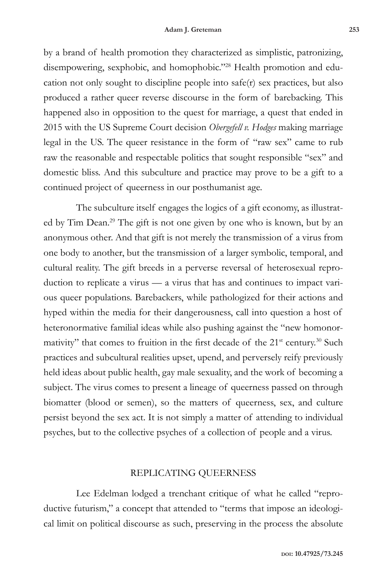by a brand of health promotion they characterized as simplistic, patronizing, disempowering, sexphobic, and homophobic."<sup>28</sup> Health promotion and education not only sought to discipline people into safe(r) sex practices, but also produced a rather queer reverse discourse in the form of barebacking. This happened also in opposition to the quest for marriage, a quest that ended in 2015 with the US Supreme Court decision *Obergefell v. Hodges* making marriage legal in the US. The queer resistance in the form of "raw sex" came to rub raw the reasonable and respectable politics that sought responsible "sex" and domestic bliss. And this subculture and practice may prove to be a gift to a continued project of queerness in our posthumanist age.

The subculture itself engages the logics of a gift economy, as illustrated by Tim Dean.29 The gift is not one given by one who is known, but by an anonymous other. And that gift is not merely the transmission of a virus from one body to another, but the transmission of a larger symbolic, temporal, and cultural reality. The gift breeds in a perverse reversal of heterosexual reproduction to replicate a virus — a virus that has and continues to impact various queer populations. Barebackers, while pathologized for their actions and hyped within the media for their dangerousness, call into question a host of heteronormative familial ideas while also pushing against the "new homonormativity" that comes to fruition in the first decade of the 21<sup>st</sup> century.<sup>30</sup> Such practices and subcultural realities upset, upend, and perversely reify previously held ideas about public health, gay male sexuality, and the work of becoming a subject. The virus comes to present a lineage of queerness passed on through biomatter (blood or semen), so the matters of queerness, sex, and culture persist beyond the sex act. It is not simply a matter of attending to individual psyches, but to the collective psyches of a collection of people and a virus.

### REPLICATING QUEERNESS

Lee Edelman lodged a trenchant critique of what he called "reproductive futurism," a concept that attended to "terms that impose an ideological limit on political discourse as such, preserving in the process the absolute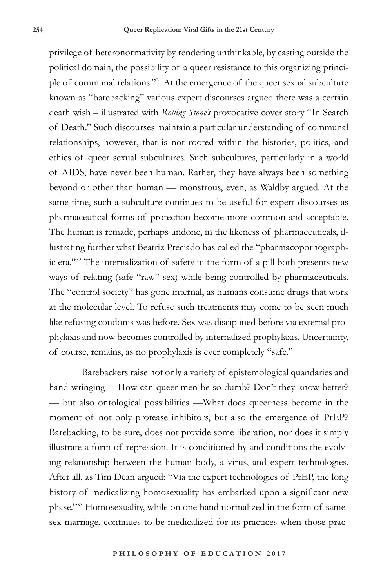privilege of heteronormativity by rendering unthinkable, by casting outside the political domain, the possibility of a queer resistance to this organizing principle of communal relations."31 At the emergence of the queer sexual subculture known as "barebacking" various expert discourses argued there was a certain death wish – illustrated with *Rolling Stone's* provocative cover story "In Search of Death." Such discourses maintain a particular understanding of communal relationships, however, that is not rooted within the histories, politics, and ethics of queer sexual subcultures. Such subcultures, particularly in a world of AIDS, have never been human. Rather, they have always been something beyond or other than human — monstrous, even, as Waldby argued. At the same time, such a subculture continues to be useful for expert discourses as pharmaceutical forms of protection become more common and acceptable. The human is remade, perhaps undone, in the likeness of pharmaceuticals, illustrating further what Beatriz Preciado has called the "pharmacopornographic era."32 The internalization of safety in the form of a pill both presents new ways of relating (safe "raw" sex) while being controlled by pharmaceuticals. The "control society" has gone internal, as humans consume drugs that work at the molecular level. To refuse such treatments may come to be seen much like refusing condoms was before. Sex was disciplined before via external prophylaxis and now becomes controlled by internalized prophylaxis. Uncertainty, of course, remains, as no prophylaxis is ever completely "safe."

Barebackers raise not only a variety of epistemological quandaries and hand-wringing —How can queer men be so dumb? Don't they know better? — but also ontological possibilities —What does queerness become in the moment of not only protease inhibitors, but also the emergence of PrEP? Barebacking, to be sure, does not provide some liberation, nor does it simply illustrate a form of repression. It is conditioned by and conditions the evolving relationship between the human body, a virus, and expert technologies. After all, as Tim Dean argued: "Via the expert technologies of PrEP, the long history of medicalizing homosexuality has embarked upon a significant new phase."33 Homosexuality, while on one hand normalized in the form of samesex marriage, continues to be medicalized for its practices when those prac-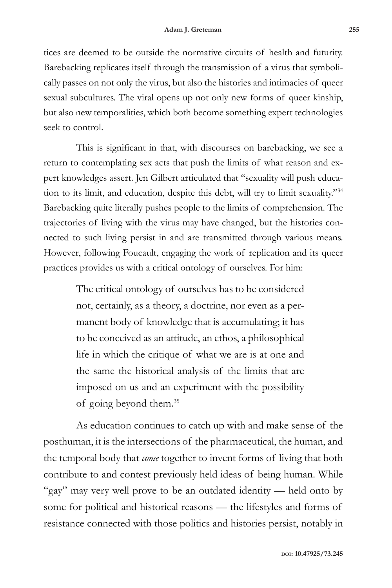tices are deemed to be outside the normative circuits of health and futurity. Barebacking replicates itself through the transmission of a virus that symbolically passes on not only the virus, but also the histories and intimacies of queer sexual subcultures. The viral opens up not only new forms of queer kinship, but also new temporalities, which both become something expert technologies seek to control.

This is significant in that, with discourses on barebacking, we see a return to contemplating sex acts that push the limits of what reason and expert knowledges assert. Jen Gilbert articulated that "sexuality will push education to its limit, and education, despite this debt, will try to limit sexuality."34 Barebacking quite literally pushes people to the limits of comprehension. The trajectories of living with the virus may have changed, but the histories connected to such living persist in and are transmitted through various means. However, following Foucault, engaging the work of replication and its queer practices provides us with a critical ontology of ourselves. For him:

> The critical ontology of ourselves has to be considered not, certainly, as a theory, a doctrine, nor even as a permanent body of knowledge that is accumulating; it has to be conceived as an attitude, an ethos, a philosophical life in which the critique of what we are is at one and the same the historical analysis of the limits that are imposed on us and an experiment with the possibility of going beyond them.35

As education continues to catch up with and make sense of the posthuman, it is the intersections of the pharmaceutical, the human, and the temporal body that *come* together to invent forms of living that both contribute to and contest previously held ideas of being human. While "gay" may very well prove to be an outdated identity — held onto by some for political and historical reasons — the lifestyles and forms of resistance connected with those politics and histories persist, notably in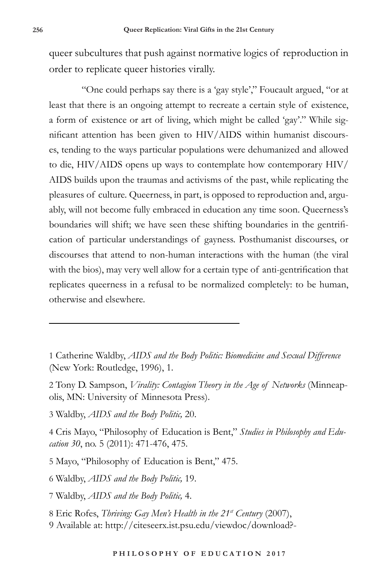queer subcultures that push against normative logics of reproduction in order to replicate queer histories virally.

"One could perhaps say there is a 'gay style'," Foucault argued, "or at least that there is an ongoing attempt to recreate a certain style of existence, a form of existence or art of living, which might be called 'gay'." While significant attention has been given to HIV/AIDS within humanist discourses, tending to the ways particular populations were dehumanized and allowed to die, HIV/AIDS opens up ways to contemplate how contemporary HIV/ AIDS builds upon the traumas and activisms of the past, while replicating the pleasures of culture. Queerness, in part, is opposed to reproduction and, arguably, will not become fully embraced in education any time soon. Queerness's boundaries will shift; we have seen these shifting boundaries in the gentrification of particular understandings of gayness. Posthumanist discourses, or discourses that attend to non-human interactions with the human (the viral with the bios), may very well allow for a certain type of anti-gentrification that replicates queerness in a refusal to be normalized completely: to be human, otherwise and elsewhere.

- 1 Catherine Waldby, *AIDS and the Body Politic: Biomedicine and Sexual Difference*  (New York: Routledge, 1996), 1.
- 2 Tony D. Sampson, *Virality: Contagion Theory in the Age of Networks* (Minneapolis, MN: University of Minnesota Press).
- 3 Waldby, *AIDS and the Body Politic,* 20.
- 4 Cris Mayo, "Philosophy of Education is Bent," *Studies in Philosophy and Education 30*, no. 5 (2011): 471-476, 475.
- 5 Mayo, "Philosophy of Education is Bent," 475.
- 6 Waldby, *AIDS and the Body Politic,* 19.
- 7 Waldby, *AIDS and the Body Politic,* 4.
- 8 Eric Rofes, *Thriving: Gay Men's Health in the 21st Century* (2007),
- 9 Available at: http://citeseerx.ist.psu.edu/viewdoc/download?-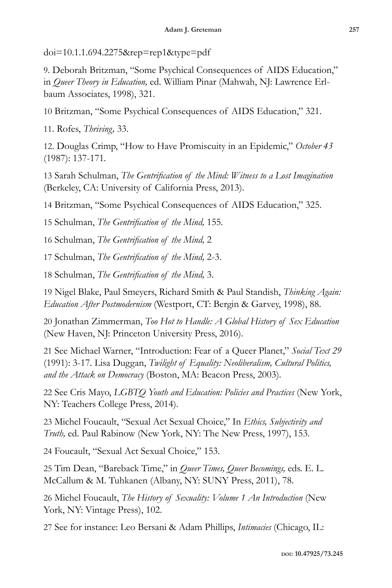doi=10.1.1.694.2275&rep=rep1&type=pdf

9. Deborah Britzman, "Some Psychical Consequences of AIDS Education," in *Queer Theory in Education,* ed. William Pinar (Mahwah, NJ: Lawrence Erlbaum Associates, 1998), 321.

10 Britzman, "Some Psychical Consequences of AIDS Education," 321.

11. Rofes, *Thriving,* 33.

12. Douglas Crimp, "How to Have Promiscuity in an Epidemic," *October 43*  (1987): 137-171*.* 

13 Sarah Schulman, *The Gentrification of the Mind: Witness to a Lost Imagination*  (Berkeley, CA: University of California Press, 2013).

14 Britzman, "Some Psychical Consequences of AIDS Education," 325.

15 Schulman, *The Gentrification of the Mind,* 155*.* 

16 Schulman, *The Gentrification of the Mind,* 2

17 Schulman, *The Gentrification of the Mind,* 2-3.

18 Schulman, *The Gentrification of the Mind,* 3.

19 Nigel Blake, Paul Smeyers, Richard Smith & Paul Standish, *Thinking Again: Education After Postmodernism* (Westport, CT: Bergin & Garvey, 1998), 88.

20 Jonathan Zimmerman, *Too Hot to Handle: A Global History of Sex Education*  (New Haven, NJ: Princeton University Press, 2016).

21 See Michael Warner, "Introduction: Fear of a Queer Planet," *Social Text 29*  (1991): 3-17. Lisa Duggan, *Twilight of Equality: Neoliberalism, Cultural Politics, and the Attack on Democracy* (Boston, MA: Beacon Press, 2003).

22 See Cris Mayo, *LGBTQ Youth and Education: Policies and Practices* (New York, NY: Teachers College Press, 2014).

23 Michel Foucault, "Sexual Act Sexual Choice," In *Ethics, Subjectivity and Truth,* ed. Paul Rabinow (New York, NY: The New Press, 1997), 153.

24 Foucault, "Sexual Act Sexual Choice," 153.

25 Tim Dean, "Bareback Time," in *Queer Times, Queer Becomings,* eds. E. L. McCallum & M. Tuhkanen (Albany, NY: SUNY Press, 2011), 78.

26 Michel Foucault, *The History of Sexuality: Volume 1 An Introduction* (New York, NY: Vintage Press), 102.

27 See for instance: Leo Bersani & Adam Phillips, *Intimacies* (Chicago, IL: